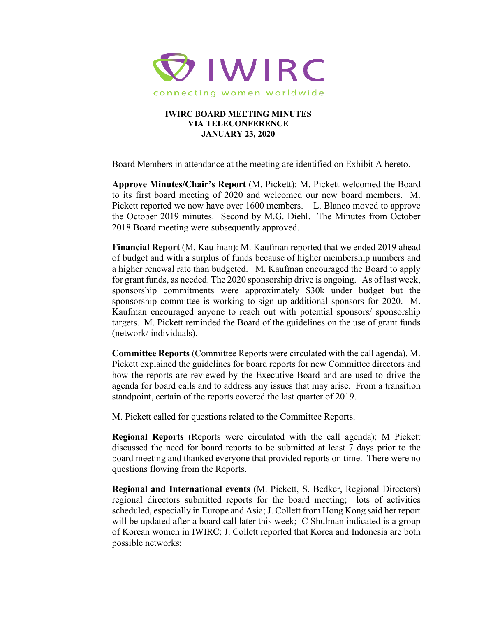

## **IWIRC BOARD MEETING MINUTES VIA TELECONFERENCE JANUARY 23, 2020**

Board Members in attendance at the meeting are identified on Exhibit A hereto.

**Approve Minutes/Chair's Report** (M. Pickett): M. Pickett welcomed the Board to its first board meeting of 2020 and welcomed our new board members. M. Pickett reported we now have over 1600 members. L. Blanco moved to approve the October 2019 minutes. Second by M.G. Diehl. The Minutes from October 2018 Board meeting were subsequently approved.

**Financial Report** (M. Kaufman): M. Kaufman reported that we ended 2019 ahead of budget and with a surplus of funds because of higher membership numbers and a higher renewal rate than budgeted. M. Kaufman encouraged the Board to apply for grant funds, as needed. The 2020 sponsorship drive is ongoing. As of last week, sponsorship commitments were approximately \$30k under budget but the sponsorship committee is working to sign up additional sponsors for 2020. M. Kaufman encouraged anyone to reach out with potential sponsors/ sponsorship targets. M. Pickett reminded the Board of the guidelines on the use of grant funds (network/ individuals).

**Committee Reports** (Committee Reports were circulated with the call agenda). M. Pickett explained the guidelines for board reports for new Committee directors and how the reports are reviewed by the Executive Board and are used to drive the agenda for board calls and to address any issues that may arise. From a transition standpoint, certain of the reports covered the last quarter of 2019.

M. Pickett called for questions related to the Committee Reports.

**Regional Reports** (Reports were circulated with the call agenda); M Pickett discussed the need for board reports to be submitted at least 7 days prior to the board meeting and thanked everyone that provided reports on time. There were no questions flowing from the Reports.

**Regional and International events** (M. Pickett, S. Bedker, Regional Directors) regional directors submitted reports for the board meeting; lots of activities scheduled, especially in Europe and Asia; J. Collett from Hong Kong said her report will be updated after a board call later this week; C Shulman indicated is a group of Korean women in IWIRC; J. Collett reported that Korea and Indonesia are both possible networks;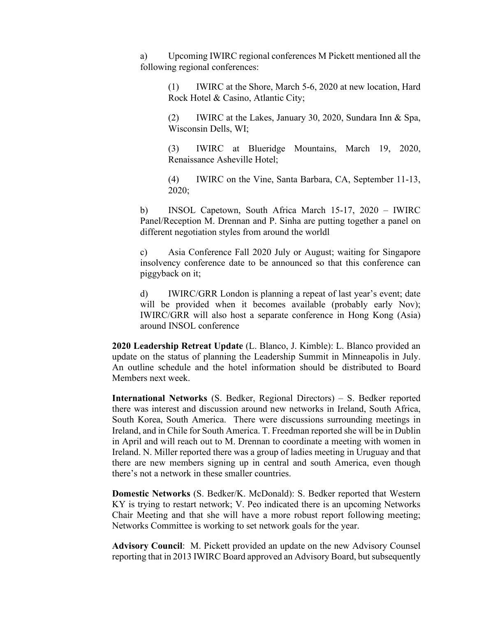a) Upcoming IWIRC regional conferences M Pickett mentioned all the following regional conferences:

(1) IWIRC at the Shore, March 5-6, 2020 at new location, Hard Rock Hotel & Casino, Atlantic City;

(2) IWIRC at the Lakes, January 30, 2020, Sundara Inn & Spa, Wisconsin Dells, WI;

(3) IWIRC at Blueridge Mountains, March 19, 2020, Renaissance Asheville Hotel;

(4) IWIRC on the Vine, Santa Barbara, CA, September 11-13, 2020;

b) INSOL Capetown, South Africa March 15-17, 2020 – IWIRC Panel/Reception M. Drennan and P. Sinha are putting together a panel on different negotiation styles from around the worldl

c) Asia Conference Fall 2020 July or August; waiting for Singapore insolvency conference date to be announced so that this conference can piggyback on it;

d) IWIRC/GRR London is planning a repeat of last year's event; date will be provided when it becomes available (probably early Nov); IWIRC/GRR will also host a separate conference in Hong Kong (Asia) around INSOL conference

**2020 Leadership Retreat Update** (L. Blanco, J. Kimble): L. Blanco provided an update on the status of planning the Leadership Summit in Minneapolis in July. An outline schedule and the hotel information should be distributed to Board Members next week.

**International Networks** (S. Bedker, Regional Directors) – S. Bedker reported there was interest and discussion around new networks in Ireland, South Africa, South Korea, South America. There were discussions surrounding meetings in Ireland, and in Chile for South America. T. Freedman reported she will be in Dublin in April and will reach out to M. Drennan to coordinate a meeting with women in Ireland. N. Miller reported there was a group of ladies meeting in Uruguay and that there are new members signing up in central and south America, even though there's not a network in these smaller countries.

**Domestic Networks** (S. Bedker/K. McDonald): S. Bedker reported that Western KY is trying to restart network; V. Peo indicated there is an upcoming Networks Chair Meeting and that she will have a more robust report following meeting; Networks Committee is working to set network goals for the year.

**Advisory Council**: M. Pickett provided an update on the new Advisory Counsel reporting that in 2013 IWIRC Board approved an Advisory Board, but subsequently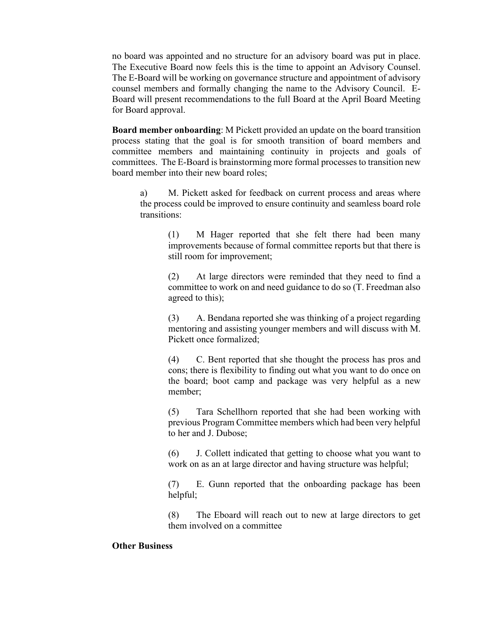no board was appointed and no structure for an advisory board was put in place. The Executive Board now feels this is the time to appoint an Advisory Counsel. The E-Board will be working on governance structure and appointment of advisory counsel members and formally changing the name to the Advisory Council. E-Board will present recommendations to the full Board at the April Board Meeting for Board approval.

**Board member onboarding**: M Pickett provided an update on the board transition process stating that the goal is for smooth transition of board members and committee members and maintaining continuity in projects and goals of committees. The E-Board is brainstorming more formal processes to transition new board member into their new board roles;

a) M. Pickett asked for feedback on current process and areas where the process could be improved to ensure continuity and seamless board role transitions:

> (1) M Hager reported that she felt there had been many improvements because of formal committee reports but that there is still room for improvement;

> (2) At large directors were reminded that they need to find a committee to work on and need guidance to do so (T. Freedman also agreed to this);

> (3) A. Bendana reported she was thinking of a project regarding mentoring and assisting younger members and will discuss with M. Pickett once formalized;

> (4) C. Bent reported that she thought the process has pros and cons; there is flexibility to finding out what you want to do once on the board; boot camp and package was very helpful as a new member;

> (5) Tara Schellhorn reported that she had been working with previous Program Committee members which had been very helpful to her and J. Dubose;

> (6) J. Collett indicated that getting to choose what you want to work on as an at large director and having structure was helpful;

> (7) E. Gunn reported that the onboarding package has been helpful;

> (8) The Eboard will reach out to new at large directors to get them involved on a committee

## **Other Business**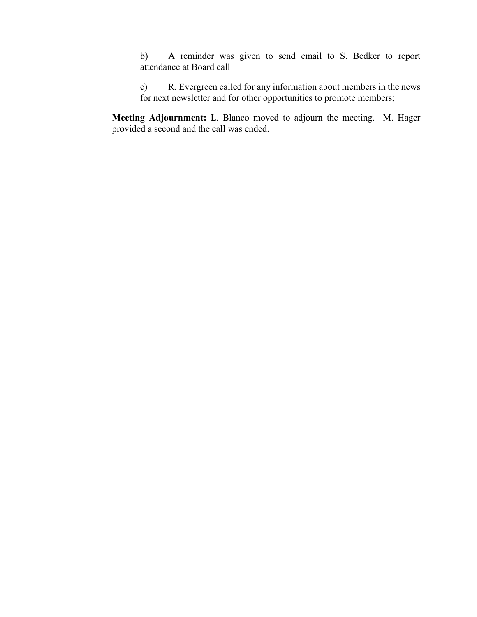b) A reminder was given to send email to S. Bedker to report attendance at Board call

c) R. Evergreen called for any information about members in the news for next newsletter and for other opportunities to promote members;

**Meeting Adjournment:** L. Blanco moved to adjourn the meeting. M. Hager provided a second and the call was ended.